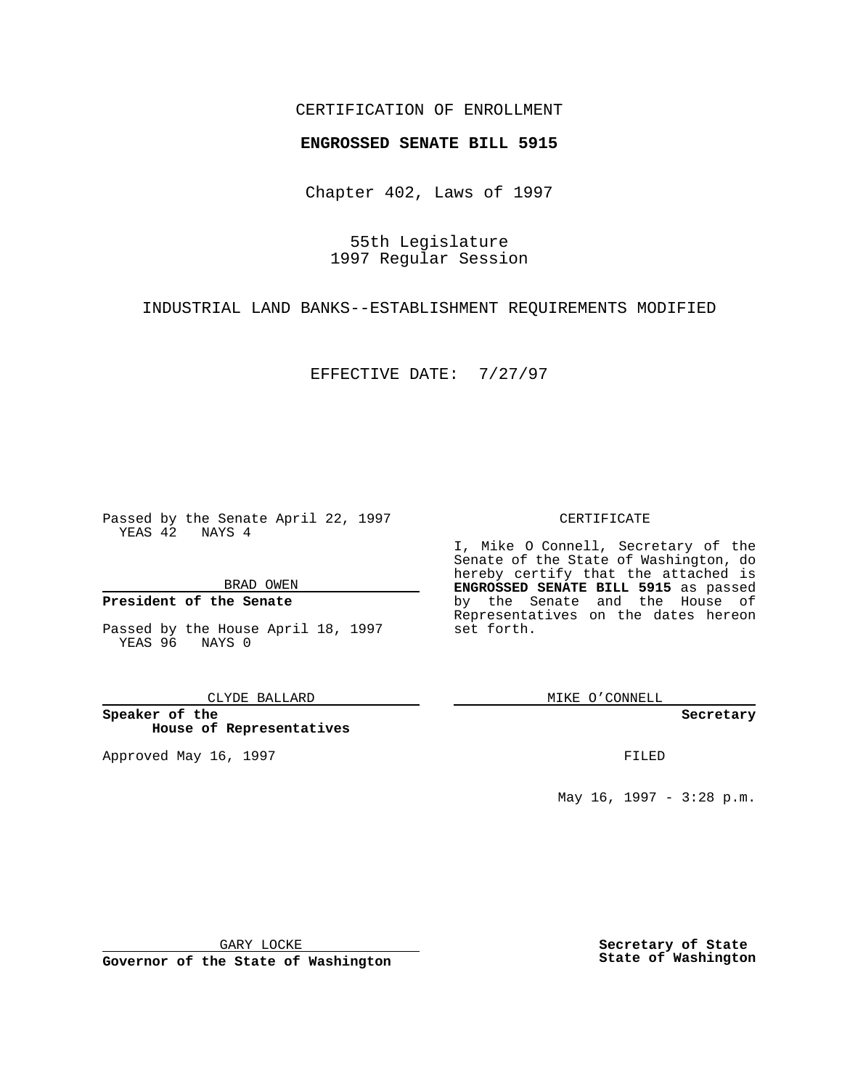## CERTIFICATION OF ENROLLMENT

# **ENGROSSED SENATE BILL 5915**

Chapter 402, Laws of 1997

55th Legislature 1997 Regular Session

INDUSTRIAL LAND BANKS--ESTABLISHMENT REQUIREMENTS MODIFIED

EFFECTIVE DATE: 7/27/97

Passed by the Senate April 22, 1997 YEAS 42 NAYS 4

BRAD OWEN

### **President of the Senate**

Passed by the House April 18, 1997 YEAS 96 NAYS 0

CLYDE BALLARD

**Speaker of the House of Representatives**

Approved May 16, 1997 **FILED** 

### CERTIFICATE

I, Mike O Connell, Secretary of the Senate of the State of Washington, do hereby certify that the attached is **ENGROSSED SENATE BILL 5915** as passed by the Senate and the House of Representatives on the dates hereon set forth.

MIKE O'CONNELL

#### **Secretary**

May 16, 1997 - 3:28 p.m.

GARY LOCKE

**Governor of the State of Washington**

**Secretary of State State of Washington**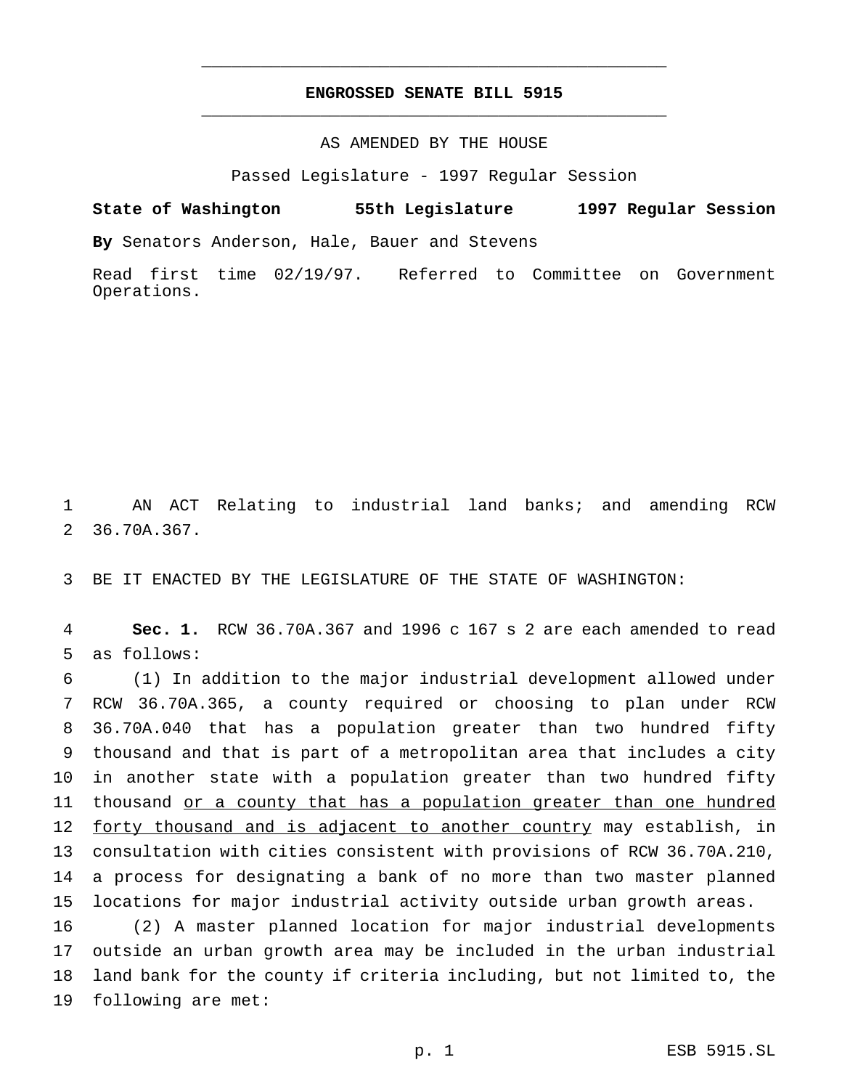# **ENGROSSED SENATE BILL 5915** \_\_\_\_\_\_\_\_\_\_\_\_\_\_\_\_\_\_\_\_\_\_\_\_\_\_\_\_\_\_\_\_\_\_\_\_\_\_\_\_\_\_\_\_\_\_\_

\_\_\_\_\_\_\_\_\_\_\_\_\_\_\_\_\_\_\_\_\_\_\_\_\_\_\_\_\_\_\_\_\_\_\_\_\_\_\_\_\_\_\_\_\_\_\_

### AS AMENDED BY THE HOUSE

Passed Legislature - 1997 Regular Session

**State of Washington 55th Legislature 1997 Regular Session By** Senators Anderson, Hale, Bauer and Stevens

Read first time 02/19/97. Referred to Committee on Government Operations.

 AN ACT Relating to industrial land banks; and amending RCW 36.70A.367.

BE IT ENACTED BY THE LEGISLATURE OF THE STATE OF WASHINGTON:

 **Sec. 1.** RCW 36.70A.367 and 1996 c 167 s 2 are each amended to read as follows:

 (1) In addition to the major industrial development allowed under RCW 36.70A.365, a county required or choosing to plan under RCW 36.70A.040 that has a population greater than two hundred fifty thousand and that is part of a metropolitan area that includes a city in another state with a population greater than two hundred fifty thousand or a county that has a population greater than one hundred 12 forty thousand and is adjacent to another country may establish, in consultation with cities consistent with provisions of RCW 36.70A.210, a process for designating a bank of no more than two master planned locations for major industrial activity outside urban growth areas.

 (2) A master planned location for major industrial developments outside an urban growth area may be included in the urban industrial land bank for the county if criteria including, but not limited to, the following are met: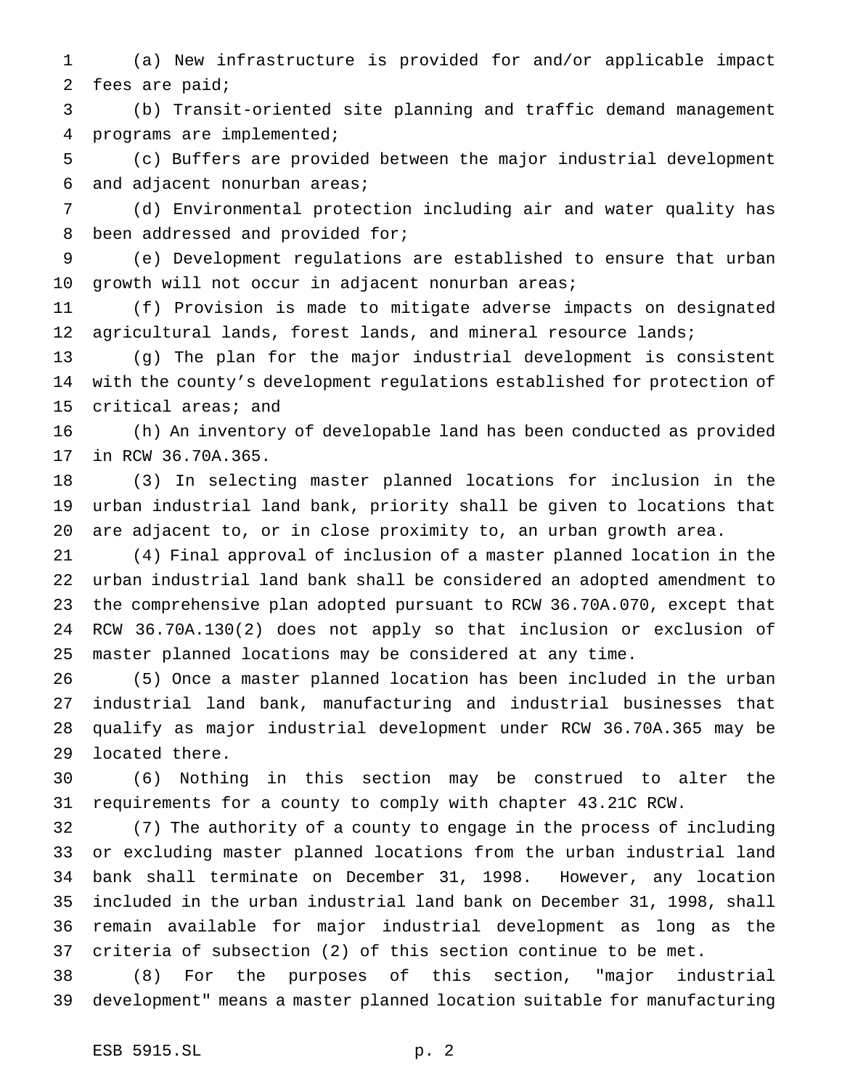(a) New infrastructure is provided for and/or applicable impact fees are paid;

 (b) Transit-oriented site planning and traffic demand management programs are implemented;

 (c) Buffers are provided between the major industrial development and adjacent nonurban areas;

 (d) Environmental protection including air and water quality has been addressed and provided for;

 (e) Development regulations are established to ensure that urban growth will not occur in adjacent nonurban areas;

 (f) Provision is made to mitigate adverse impacts on designated 12 agricultural lands, forest lands, and mineral resource lands;

 (g) The plan for the major industrial development is consistent with the county's development regulations established for protection of critical areas; and

 (h) An inventory of developable land has been conducted as provided in RCW 36.70A.365.

 (3) In selecting master planned locations for inclusion in the urban industrial land bank, priority shall be given to locations that are adjacent to, or in close proximity to, an urban growth area.

 (4) Final approval of inclusion of a master planned location in the urban industrial land bank shall be considered an adopted amendment to the comprehensive plan adopted pursuant to RCW 36.70A.070, except that RCW 36.70A.130(2) does not apply so that inclusion or exclusion of master planned locations may be considered at any time.

 (5) Once a master planned location has been included in the urban industrial land bank, manufacturing and industrial businesses that qualify as major industrial development under RCW 36.70A.365 may be located there.

 (6) Nothing in this section may be construed to alter the requirements for a county to comply with chapter 43.21C RCW.

 (7) The authority of a county to engage in the process of including or excluding master planned locations from the urban industrial land bank shall terminate on December 31, 1998. However, any location included in the urban industrial land bank on December 31, 1998, shall remain available for major industrial development as long as the criteria of subsection (2) of this section continue to be met.

 (8) For the purposes of this section, "major industrial development" means a master planned location suitable for manufacturing